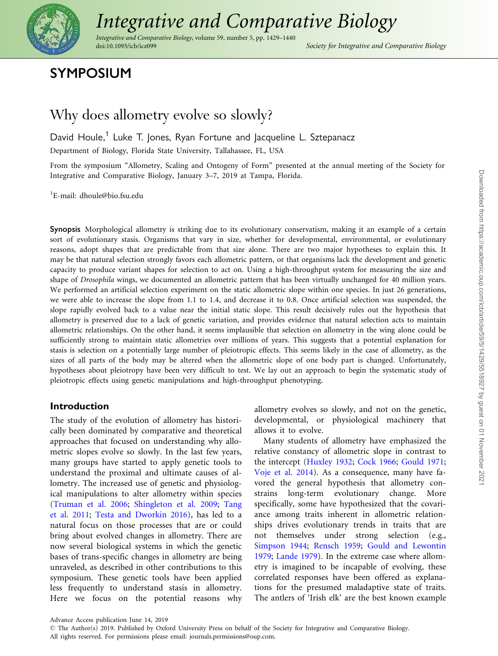

# [Integrative and Comparative Biology](https://academic.oup.com/)

Integrative and Comparative Biology, volume 59, number 5, pp. 1429–1440 doi:10.1093/icb/icz099 Society for Integrative and Comparative Biology

# SYMPOSIUM

# Why does allometry evolve so slowly?

David Houle,<sup>1</sup> Luke T. Jones, Ryan Fortune and Jacqueline L. Sztepanacz

Department of Biology, Florida State University, Tallahassee, FL, USA

From the symposium "Allometry, Scaling and Ontogeny of Form" presented at the annual meeting of the Society for Integrative and Comparative Biology, January 3–7, 2019 at Tampa, Florida.

1 E-mail: dhoule@bio.fsu.edu

Synopsis Morphological allometry is striking due to its evolutionary conservatism, making it an example of a certain sort of evolutionary stasis. Organisms that vary in size, whether for developmental, environmental, or evolutionary reasons, adopt shapes that are predictable from that size alone. There are two major hypotheses to explain this. It may be that natural selection strongly favors each allometric pattern, or that organisms lack the development and genetic capacity to produce variant shapes for selection to act on. Using a high-throughput system for measuring the size and shape of Drosophila wings, we documented an allometric pattern that has been virtually unchanged for 40 million years. We performed an artificial selection experiment on the static allometric slope within one species. In just 26 generations, we were able to increase the slope from 1.1 to 1.4, and decrease it to 0.8. Once artificial selection was suspended, the slope rapidly evolved back to a value near the initial static slope. This result decisively rules out the hypothesis that allometry is preserved due to a lack of genetic variation, and provides evidence that natural selection acts to maintain allometric relationships. On the other hand, it seems implausible that selection on allometry in the wing alone could be sufficiently strong to maintain static allometries over millions of years. This suggests that a potential explanation for stasis is selection on a potentially large number of pleiotropic effects. This seems likely in the case of allometry, as the sizes of all parts of the body may be altered when the allometric slope of one body part is changed. Unfortunately, hypotheses about pleiotropy have been very difficult to test. We lay out an approach to begin the systematic study of pleiotropic effects using genetic manipulations and high-throughput phenotyping.

### Introduction

The study of the evolution of allometry has historically been dominated by comparative and theoretical approaches that focused on understanding why allometric slopes evolve so slowly. In the last few years, many groups have started to apply genetic tools to understand the proximal and ultimate causes of allometry. The increased use of genetic and physiological manipulations to alter allometry within species ([Truman et al. 2006](#page-11-0); [Shingleton et al. 2009](#page-10-0); [Tang](#page-11-0) [et al. 2011;](#page-11-0) [Testa and Dworkin 2016\)](#page-11-0), has led to a natural focus on those processes that are or could bring about evolved changes in allometry. There are now several biological systems in which the genetic bases of trans-specific changes in allometry are being unraveled, as described in other contributions to this symposium. These genetic tools have been applied less frequently to understand stasis in allometry. Here we focus on the potential reasons why

allometry evolves so slowly, and not on the genetic, developmental, or physiological machinery that allows it to evolve.

Many students of allometry have emphasized the relative constancy of allometric slope in contrast to the intercept ([Huxley 1932](#page-10-0); [Cock 1966](#page-9-0); [Gould 1971;](#page-9-0) [Voje et al. 2014\)](#page-11-0). As a consequence, many have favored the general hypothesis that allometry constrains long-term evolutionary change. More specifically, some have hypothesized that the covariance among traits inherent in allometric relationships drives evolutionary trends in traits that are not themselves under strong selection (e.g., [Simpson 1944](#page-10-0); [Rensch 1959](#page-10-0); [Gould and Lewontin](#page-9-0) [1979](#page-9-0); [Lande 1979\)](#page-10-0). In the extreme case where allometry is imagined to be incapable of evolving, these correlated responses have been offered as explanations for the presumed maladaptive state of traits. The antlers of 'Irish elk' are the best known example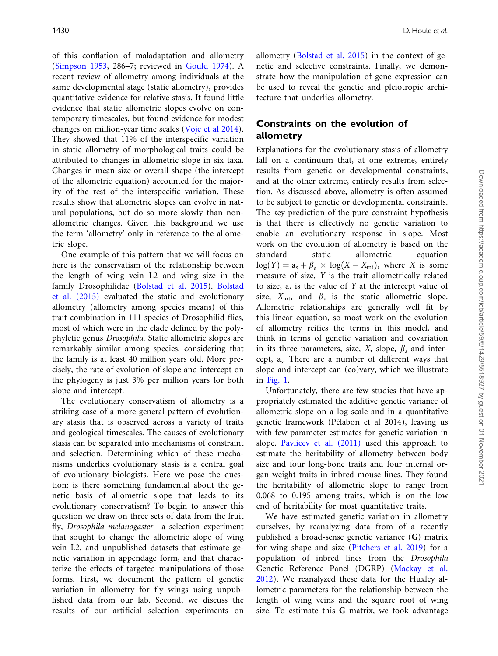of this conflation of maladaptation and allometry [\(Simpson 1953,](#page-10-0) 286–7; reviewed in [Gould 1974\)](#page-9-0). A recent review of allometry among individuals at the same developmental stage (static allometry), provides quantitative evidence for relative stasis. It found little evidence that static allometric slopes evolve on contemporary timescales, but found evidence for modest changes on million-year time scales [\(Voje et al 2014](#page-11-0)). They showed that 11% of the interspecific variation in static allometry of morphological traits could be attributed to changes in allometric slope in six taxa. Changes in mean size or overall shape (the intercept of the allometric equation) accounted for the majority of the rest of the interspecific variation. These results show that allometric slopes can evolve in natural populations, but do so more slowly than nonallometric changes. Given this background we use the term 'allometry' only in reference to the allometric slope.

One example of this pattern that we will focus on here is the conservatism of the relationship between the length of wing vein L2 and wing size in the family Drosophilidae [\(Bolstad et al. 2015\)](#page-9-0). [Bolstad](#page-9-0) [et al. \(2015\)](#page-9-0) evaluated the static and evolutionary allometry (allometry among species means) of this trait combination in 111 species of Drosophilid flies, most of which were in the clade defined by the polyphyletic genus Drosophila. Static allometric slopes are remarkably similar among species, considering that the family is at least 40 million years old. More precisely, the rate of evolution of slope and intercept on the phylogeny is just 3% per million years for both slope and intercept.

The evolutionary conservatism of allometry is a striking case of a more general pattern of evolutionary stasis that is observed across a variety of traits and geological timescales. The causes of evolutionary stasis can be separated into mechanisms of constraint and selection. Determining which of these mechanisms underlies evolutionary stasis is a central goal of evolutionary biologists. Here we pose the question: is there something fundamental about the genetic basis of allometric slope that leads to its evolutionary conservatism? To begin to answer this question we draw on three sets of data from the fruit fly, Drosophila melanogaster-a selection experiment that sought to change the allometric slope of wing vein L2, and unpublished datasets that estimate genetic variation in appendage form, and that characterize the effects of targeted manipulations of those forms. First, we document the pattern of genetic variation in allometry for fly wings using unpublished data from our lab. Second, we discuss the results of our artificial selection experiments on

allometry ([Bolstad et al. 2015](#page-9-0)) in the context of genetic and selective constraints. Finally, we demonstrate how the manipulation of gene expression can be used to reveal the genetic and pleiotropic architecture that underlies allometry.

## Constraints on the evolution of allometry

Explanations for the evolutionary stasis of allometry fall on a continuum that, at one extreme, entirely results from genetic or developmental constraints, and at the other extreme, entirely results from selection. As discussed above, allometry is often assumed to be subject to genetic or developmental constraints. The key prediction of the pure constraint hypothesis is that there is effectively no genetic variation to enable an evolutionary response in slope. Most work on the evolution of allometry is based on the standard static allometric equation  $log(Y) = a_s + \beta_s \times log(X - X_{int})$ , where X is some measure of size, Y is the trait allometrically related to size,  $a_s$  is the value of Y at the intercept value of size,  $X_{\text{int}}$  and  $\beta_s$  is the static allometric slope. Allometric relationships are generally well fit by this linear equation, so most work on the evolution of allometry reifies the terms in this model, and think in terms of genetic variation and covariation in its three parameters, size, X, slope,  $\beta_s$  and intercept,  $a_s$ . There are a number of different ways that slope and intercept can (co)vary, which we illustrate in [Fig. 1](#page-2-0).

Unfortunately, there are few studies that have appropriately estimated the additive genetic variance of allometric slope on a log scale and in a quantitative genetic framework (Pélabon et al 2014), leaving us with few parameter estimates for genetic variation in slope. [Pavlicev et al. \(2011\)](#page-10-0) used this approach to estimate the heritability of allometry between body size and four long-bone traits and four internal organ weight traits in inbred mouse lines. They found the heritability of allometric slope to range from 0.068 to 0.195 among traits, which is on the low end of heritability for most quantitative traits.

We have estimated genetic variation in allometry ourselves, by reanalyzing data from of a recently published a broad-sense genetic variance (G) matrix for wing shape and size ([Pitchers et al. 2019](#page-10-0)) for a population of inbred lines from the Drosophila Genetic Reference Panel (DGRP) ([Mackay et al.](#page-10-0) [2012\)](#page-10-0). We reanalyzed these data for the Huxley allometric parameters for the relationship between the length of wing veins and the square root of wing size. To estimate this G matrix, we took advantage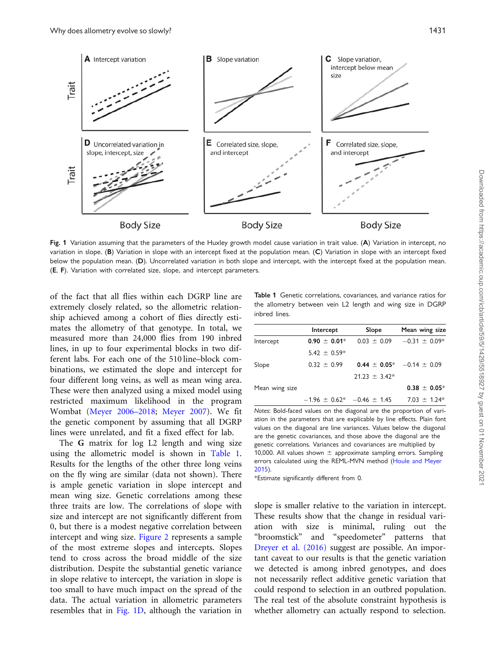<span id="page-2-0"></span>

Fig. 1 Variation assuming that the parameters of the Huxley growth model cause variation in trait value. (A) Variation in intercept, no variation in slope. (B) Variation in slope with an intercept fixed at the population mean. (C) Variation in slope with an intercept fixed below the population mean. (D). Uncorrelated variation in both slope and intercept, with the intercept fixed at the population mean. (E, F). Variation with correlated size, slope, and intercept parameters.

of the fact that all flies within each DGRP line are extremely closely related, so the allometric relationship achieved among a cohort of flies directly estimates the allometry of that genotype. In total, we measured more than 24,000 flies from 190 inbred lines, in up to four experimental blocks in two different labs. For each one of the 510 line–block combinations, we estimated the slope and intercept for four different long veins, as well as mean wing area. These were then analyzed using a mixed model using restricted maximum likelihood in the program Wombat [\(Meyer 2006–2018](#page-10-0); [Meyer 2007](#page-10-0)). We fit the genetic component by assuming that all DGRP lines were unrelated, and fit a fixed effect for lab.

The G matrix for log L2 length and wing size using the allometric model is shown in Table 1. Results for the lengths of the other three long veins on the fly wing are similar (data not shown). There is ample genetic variation in slope intercept and mean wing size. Genetic correlations among these three traits are low. The correlations of slope with size and intercept are not significantly different from 0, but there is a modest negative correlation between intercept and wing size. [Figure 2](#page-3-0) represents a sample of the most extreme slopes and intercepts. Slopes tend to cross across the broad middle of the size distribution. Despite the substantial genetic variance in slope relative to intercept, the variation in slope is too small to have much impact on the spread of the data. The actual variation in allometric parameters resembles that in Fig. 1D, although the variation in

Table 1 Genetic correlations, covariances, and variance ratios for the allometry between vein L2 length and wing size in DGRP inbred lines.

|                | Intercept                         | Slope           | Mean wing size                     |  |  |
|----------------|-----------------------------------|-----------------|------------------------------------|--|--|
| Intercept      | $0.90 \pm 0.01*$                  | $0.03 \pm 0.09$ | $-0.31 \pm 0.09*$                  |  |  |
|                | $5.42 \pm 0.59*$                  |                 |                                    |  |  |
| Slope          | $0.32 \pm 0.99$                   |                 | $0.44 \pm 0.05^*$ -0.14 $\pm$ 0.09 |  |  |
|                |                                   | $21.23 + 3.42*$ |                                    |  |  |
| Mean wing size |                                   |                 | $0.38 \pm 0.05*$                   |  |  |
|                | $-1.96 \pm 0.62^* -0.46 \pm 1.45$ |                 | $7.03 \pm 1.24*$                   |  |  |

Notes: Bold-faced values on the diagonal are the proportion of variation in the parameters that are explicable by line effects. Plain font values on the diagonal are line variances. Values below the diagonal are the genetic covariances, and those above the diagonal are the genetic correlations. Variances and covariances are multiplied by 10,000. All values shown  $\pm$  approximate sampling errors. Sampling errors calculated using the REML-MVN method ([Houle and Meyer](#page-10-0) [2015\)](#page-10-0).

\*Estimate significantly different from 0.

slope is smaller relative to the variation in intercept. These results show that the change in residual variation with size is minimal, ruling out the "broomstick" and "speedometer" patterns that [Dreyer et al. \(2016\)](#page-9-0) suggest are possible. An important caveat to our results is that the genetic variation we detected is among inbred genotypes, and does not necessarily reflect additive genetic variation that could respond to selection in an outbred population. The real test of the absolute constraint hypothesis is whether allometry can actually respond to selection.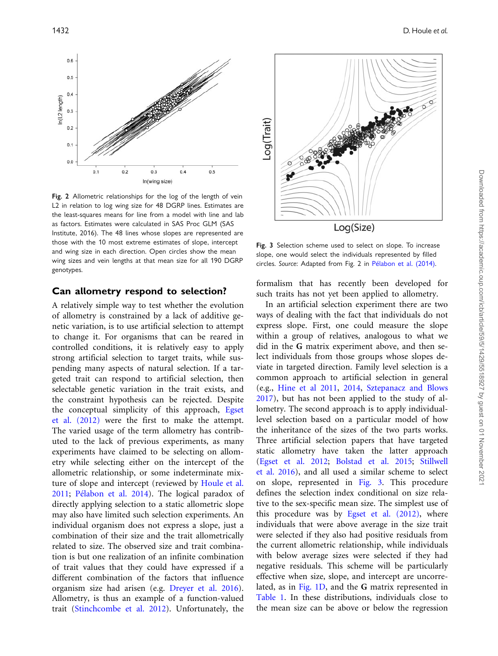<span id="page-3-0"></span>

Fig. 2 Allometric relationships for the log of the length of vein L2 in relation to log wing size for 48 DGRP lines. Estimates are the least-squares means for line from a model with line and lab as factors. Estimates were calculated in SAS Proc GLM (SAS Institute, 2016). The 48 lines whose slopes are represented are those with the 10 most extreme estimates of slope, intercept and wing size in each direction. Open circles show the mean wing sizes and vein lengths at that mean size for all 190 DGRP genotypes.

#### Can allometry respond to selection?

A relatively simple way to test whether the evolution of allometry is constrained by a lack of additive genetic variation, is to use artificial selection to attempt to change it. For organisms that can be reared in controlled conditions, it is relatively easy to apply strong artificial selection to target traits, while suspending many aspects of natural selection. If a targeted trait can respond to artificial selection, then selectable genetic variation in the trait exists, and the constraint hypothesis can be rejected. Despite the conceptual simplicity of this approach, [Egset](#page-9-0) [et al. \(2012\)](#page-9-0) were the first to make the attempt. The varied usage of the term allometry has contributed to the lack of previous experiments, as many experiments have claimed to be selecting on allometry while selecting either on the intercept of the allometric relationship, or some indeterminate mixture of slope and intercept (reviewed by [Houle et al.](#page-10-0) [2011](#page-10-0); [P](#page-10-0)élabon et al. 2014). The logical paradox of directly applying selection to a static allometric slope may also have limited such selection experiments. An individual organism does not express a slope, just a combination of their size and the trait allometrically related to size. The observed size and trait combination is but one realization of an infinite combination of trait values that they could have expressed if a different combination of the factors that influence organism size had arisen (e.g. [Dreyer et al. 2016](#page-9-0)). Allometry, is thus an example of a function-valued trait [\(Stinchcombe et al. 2012\)](#page-11-0). Unfortunately, the



Fig. 3 Selection scheme used to select on slope. To increase slope, one would select the individuals represented by filled circles. Source: Adapted from Fig. 2 in [P](#page-10-0)élabon et al. (2014).

formalism that has recently been developed for such traits has not yet been applied to allometry.

In an artificial selection experiment there are two ways of dealing with the fact that individuals do not express slope. First, one could measure the slope within a group of relatives, analogous to what we did in the G matrix experiment above, and then select individuals from those groups whose slopes deviate in targeted direction. Family level selection is a common approach to artificial selection in general (e.g., [Hine et al 2011](#page-10-0), [2014,](#page-10-0) [Sztepanacz and Blows](#page-11-0) [2017\)](#page-11-0), but has not been applied to the study of allometry. The second approach is to apply individuallevel selection based on a particular model of how the inheritance of the sizes of the two parts works. Three artificial selection papers that have targeted static allometry have taken the latter approach ([Egset et al. 2012;](#page-9-0) [Bolstad et al. 2015](#page-9-0); [Stillwell](#page-11-0) [et al. 2016\)](#page-11-0), and all used a similar scheme to select on slope, represented in Fig. 3. This procedure defines the selection index conditional on size relative to the sex-specific mean size. The simplest use of this procedure was by [Egset et al. \(2012\)](#page-9-0), where individuals that were above average in the size trait were selected if they also had positive residuals from the current allometric relationship, while individuals with below average sizes were selected if they had negative residuals. This scheme will be particularly effective when size, slope, and intercept are uncorrelated, as in [Fig. 1D](#page-2-0), and the G matrix represented in [Table 1.](#page-2-0) In these distributions, individuals close to the mean size can be above or below the regression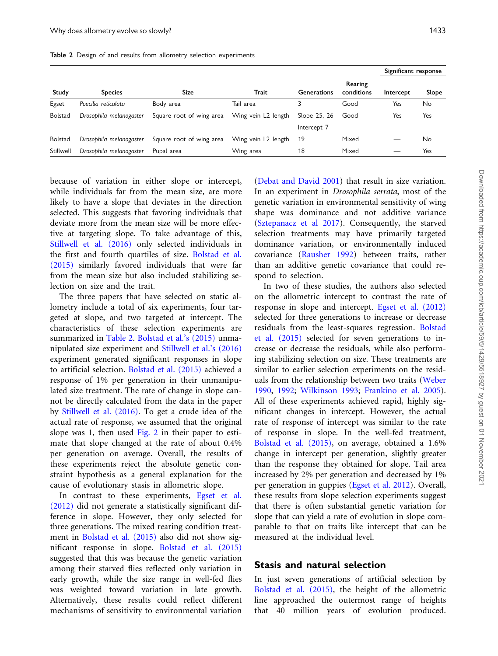Table 2 Design of and results from allometry selection experiments

|                |                         |                          |                     |                    |                       | Significant response |       |
|----------------|-------------------------|--------------------------|---------------------|--------------------|-----------------------|----------------------|-------|
| Study          | <b>Species</b>          | Size                     | Trait               | <b>Generations</b> | Rearing<br>conditions | Intercept            | Slope |
| Egset          | Poecilia reticulata     | Body area                | Tail area           |                    | Good                  | Yes                  | No    |
| <b>Bolstad</b> | Drosophila melanogaster | Square root of wing area | Wing vein L2 length | Slope 25, 26       | Good                  | Yes                  | Yes   |
|                |                         |                          |                     | Intercept 7        |                       |                      |       |
| <b>Bolstad</b> | Drosophila melanogaster | Square root of wing area | Wing vein L2 length | 19                 | Mixed                 |                      | No    |
| Stillwell      | Drosophila melanogaster | Pupal area               | Wing area           | 18                 | Mixed                 |                      | Yes   |

because of variation in either slope or intercept, while individuals far from the mean size, are more likely to have a slope that deviates in the direction selected. This suggests that favoring individuals that deviate more from the mean size will be more effective at targeting slope. To take advantage of this, [Stillwell et al. \(2016\)](#page-11-0) only selected individuals in the first and fourth quartiles of size. [Bolstad et al.](#page-9-0) [\(2015\)](#page-9-0) similarly favored individuals that were far from the mean size but also included stabilizing selection on size and the trait.

The three papers that have selected on static allometry include a total of six experiments, four targeted at slope, and two targeted at intercept. The characteristics of these selection experiments are summarized in Table 2. [Bolstad et al.'s \(2015\)](#page-9-0) unmanipulated size experiment and [Stillwell et al.'s \(2016\)](#page-11-0) experiment generated significant responses in slope to artificial selection. [Bolstad et al. \(2015\)](#page-9-0) achieved a response of 1% per generation in their unmanipulated size treatment. The rate of change in slope cannot be directly calculated from the data in the paper by [Stillwell et al. \(2016\).](#page-11-0) To get a crude idea of the actual rate of response, we assumed that the original slope was 1, then used [Fig. 2](#page-3-0) in their paper to estimate that slope changed at the rate of about 0.4% per generation on average. Overall, the results of these experiments reject the absolute genetic constraint hypothesis as a general explanation for the cause of evolutionary stasis in allometric slope.

In contrast to these experiments, [Egset et al.](#page-9-0) [\(2012\)](#page-9-0) did not generate a statistically significant difference in slope. However, they only selected for three generations. The mixed rearing condition treatment in [Bolstad et al. \(2015\)](#page-9-0) also did not show significant response in slope. [Bolstad et al. \(2015\)](#page-9-0) suggested that this was because the genetic variation among their starved flies reflected only variation in early growth, while the size range in well-fed flies was weighted toward variation in late growth. Alternatively, these results could reflect different mechanisms of sensitivity to environmental variation [\(Debat and David 2001](#page-9-0)) that result in size variation. In an experiment in Drosophila serrata, most of the genetic variation in environmental sensitivity of wing shape was dominance and not additive variance [\(Sztepanacz et al 2017](#page-11-0)). Consequently, the starved selection treatments may have primarily targeted dominance variation, or environmentally induced covariance ([Rausher 1992\)](#page-10-0) between traits, rather than an additive genetic covariance that could respond to selection.

In two of these studies, the authors also selected on the allometric intercept to contrast the rate of response in slope and intercept. [Egset et al. \(2012\)](#page-9-0) selected for three generations to increase or decrease residuals from the least-squares regression. [Bolstad](#page-9-0) [et al. \(2015\)](#page-9-0) selected for seven generations to increase or decrease the residuals, while also performing stabilizing selection on size. These treatments are similar to earlier selection experiments on the residuals from the relationship between two traits [\(Weber](#page-11-0) [1990](#page-11-0), [1992;](#page-11-0) [Wilkinson 1993](#page-11-0); [Frankino et al. 2005\)](#page-9-0). All of these experiments achieved rapid, highly significant changes in intercept. However, the actual rate of response of intercept was similar to the rate of response in slope. In the well-fed treatment, [Bolstad et al. \(2015\),](#page-9-0) on average, obtained a 1.6% change in intercept per generation, slightly greater than the response they obtained for slope. Tail area increased by 2% per generation and decreased by 1% per generation in guppies [\(Egset et al. 2012](#page-9-0)). Overall, these results from slope selection experiments suggest that there is often substantial genetic variation for slope that can yield a rate of evolution in slope comparable to that on traits like intercept that can be measured at the individual level.

#### Stasis and natural selection

In just seven generations of artificial selection by [Bolstad et al. \(2015\)](#page-9-0), the height of the allometric line approached the outermost range of heights that 40 million years of evolution produced.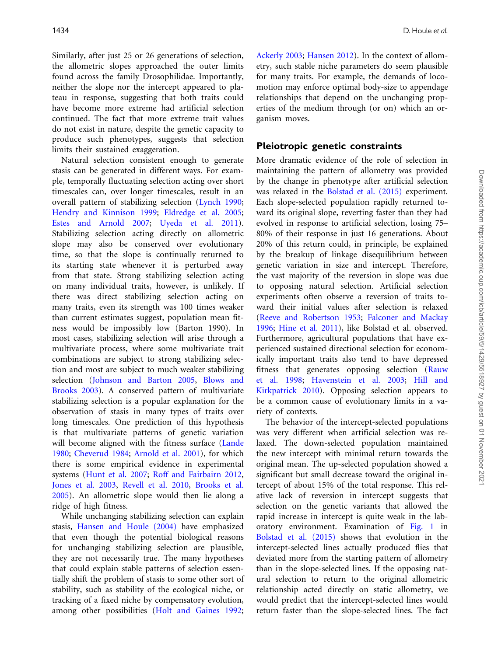Similarly, after just 25 or 26 generations of selection, the allometric slopes approached the outer limits found across the family Drosophilidae. Importantly, neither the slope nor the intercept appeared to plateau in response, suggesting that both traits could have become more extreme had artificial selection continued. The fact that more extreme trait values do not exist in nature, despite the genetic capacity to produce such phenotypes, suggests that selection limits their sustained exaggeration.

Natural selection consistent enough to generate stasis can be generated in different ways. For example, temporally fluctuating selection acting over short timescales can, over longer timescales, result in an overall pattern of stabilizing selection [\(Lynch 1990](#page-10-0); [Hendry and Kinnison 1999](#page-9-0); [Eldredge et al. 2005](#page-9-0); [Estes and Arnold 2007](#page-9-0); [Uyeda et al. 2011](#page-11-0)). Stabilizing selection acting directly on allometric slope may also be conserved over evolutionary time, so that the slope is continually returned to its starting state whenever it is perturbed away from that state. Strong stabilizing selection acting on many individual traits, however, is unlikely. If there was direct stabilizing selection acting on many traits, even its strength was 100 times weaker than current estimates suggest, population mean fitness would be impossibly low (Barton 1990). In most cases, stabilizing selection will arise through a multivariate process, where some multivariate trait combinations are subject to strong stabilizing selection and most are subject to much weaker stabilizing selection [\(Johnson and Barton 2005](#page-10-0), [Blows and](#page-9-0) [Brooks 2003](#page-9-0)). A conserved pattern of multivariate stabilizing selection is a popular explanation for the observation of stasis in many types of traits over long timescales. One prediction of this hypothesis is that multivariate patterns of genetic variation will become aligned with the fitness surface ([Lande](#page-10-0) [1980](#page-10-0); [Cheverud 1984;](#page-9-0) [Arnold et al. 2001\)](#page-9-0), for which there is some empirical evidence in experimental systems [\(Hunt et al. 2007;](#page-10-0) [Roff and Fairbairn 2012](#page-10-0), [Jones et al. 2003](#page-10-0), [Revell et al. 2010](#page-10-0), [Brooks et al.](#page-9-0) [2005](#page-9-0)). An allometric slope would then lie along a ridge of high fitness.

While unchanging stabilizing selection can explain stasis, [Hansen and Houle \(2004\)](#page-9-0) have emphasized that even though the potential biological reasons for unchanging stabilizing selection are plausible, they are not necessarily true. The many hypotheses that could explain stable patterns of selection essentially shift the problem of stasis to some other sort of stability, such as stability of the ecological niche, or tracking of a fixed niche by compensatory evolution, among other possibilities ([Holt and Gaines 1992](#page-10-0);

[Ackerly 2003;](#page-9-0) [Hansen 2012\)](#page-9-0). In the context of allometry, such stable niche parameters do seem plausible for many traits. For example, the demands of locomotion may enforce optimal body-size to appendage relationships that depend on the unchanging properties of the medium through (or on) which an organism moves.

#### Pleiotropic genetic constraints

More dramatic evidence of the role of selection in maintaining the pattern of allometry was provided by the change in phenotype after artificial selection was relaxed in the [Bolstad et al. \(2015\)](#page-9-0) experiment. Each slope-selected population rapidly returned toward its original slope, reverting faster than they had evolved in response to artificial selection, losing 75– 80% of their response in just 16 generations. About 20% of this return could, in principle, be explained by the breakup of linkage disequilibrium between genetic variation in size and intercept. Therefore, the vast majority of the reversion in slope was due to opposing natural selection. Artificial selection experiments often observe a reversion of traits toward their initial values after selection is relaxed ([Reeve and Robertson 1953](#page-10-0); [Falconer and Mackay](#page-9-0) [1996;](#page-9-0) [Hine et al. 2011](#page-10-0)), like Bolstad et al. observed. Furthermore, agricultural populations that have experienced sustained directional selection for economically important traits also tend to have depressed fitness that generates opposing selection [\(Rauw](#page-10-0) [et al. 1998](#page-10-0); [Havenstein et al. 2003](#page-9-0); [Hill and](#page-10-0) [Kirkpatrick 2010\)](#page-10-0). Opposing selection appears to be a common cause of evolutionary limits in a variety of contexts.

The behavior of the intercept-selected populations was very different when artificial selection was relaxed. The down-selected population maintained the new intercept with minimal return towards the original mean. The up-selected population showed a significant but small decrease toward the original intercept of about 15% of the total response. This relative lack of reversion in intercept suggests that selection on the genetic variants that allowed the rapid increase in intercept is quite weak in the laboratory environment. Examination of [Fig. 1](#page-2-0) in [Bolstad et al. \(2015\)](#page-9-0) shows that evolution in the intercept-selected lines actually produced flies that deviated more from the starting pattern of allometry than in the slope-selected lines. If the opposing natural selection to return to the original allometric relationship acted directly on static allometry, we would predict that the intercept-selected lines would return faster than the slope-selected lines. The fact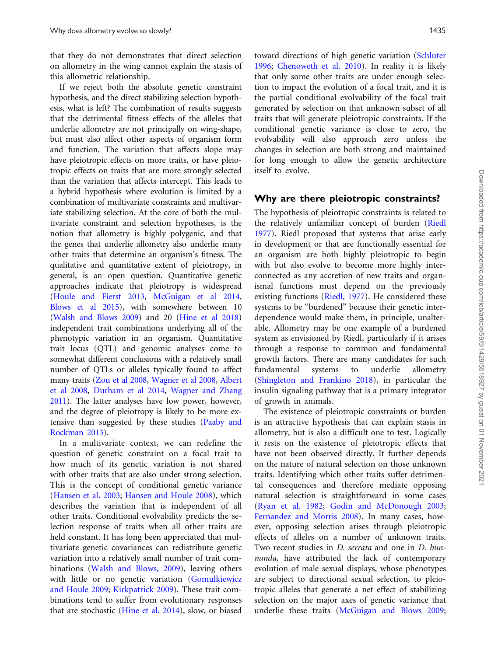that they do not demonstrates that direct selection on allometry in the wing cannot explain the stasis of this allometric relationship.

If we reject both the absolute genetic constraint hypothesis, and the direct stabilizing selection hypothesis, what is left? The combination of results suggests that the detrimental fitness effects of the alleles that underlie allometry are not principally on wing-shape, but must also affect other aspects of organism form and function. The variation that affects slope may have pleiotropic effects on more traits, or have pleiotropic effects on traits that are more strongly selected than the variation that affects intercept. This leads to a hybrid hypothesis where evolution is limited by a combination of multivariate constraints and multivariate stabilizing selection. At the core of both the multivariate constraint and selection hypotheses, is the notion that allometry is highly polygenic, and that the genes that underlie allometry also underlie many other traits that determine an organism's fitness. The qualitative and quantitative extent of pleiotropy, in general, is an open question. Quantitative genetic approaches indicate that pleiotropy is widespread ([Houle and Fierst 2013](#page-10-0), [McGuigan et al 2014,](#page-10-0) [Blows et al 2015](#page-9-0)), with somewhere between 10 ([Walsh and Blows 2009](#page-11-0)) and 20 [\(Hine et al 2018](#page-10-0)) independent trait combinations underlying all of the phenotypic variation in an organism. Quantitative trait locus (QTL) and genomic analyses come to somewhat different conclusions with a relatively small number of QTLs or alleles typically found to affect many traits [\(Zou et al 2008](#page-11-0), [Wagner et al 2008](#page-11-0), [Albert](#page-9-0) [et al 2008](#page-9-0), [Durham et al 2014](#page-9-0), [Wagner and Zhang](#page-11-0) [2011](#page-11-0)). The latter analyses have low power, however, and the degree of pleiotropy is likely to be more extensive than suggested by these studies ([Paaby and](#page-10-0) [Rockman 2013](#page-10-0)).

In a multivariate context, we can redefine the question of genetic constraint on a focal trait to how much of its genetic variation is not shared with other traits that are also under strong selection. This is the concept of conditional genetic variance ([Hansen et al. 2003](#page-9-0); [Hansen and Houle 2008](#page-9-0)), which describes the variation that is independent of all other traits. Conditional evolvability predicts the selection response of traits when all other traits are held constant. It has long been appreciated that multivariate genetic covariances can redistribute genetic variation into a relatively small number of trait combinations ([Walsh and Blows, 2009](#page-11-0)), leaving others with little or no genetic variation ([Gomulkiewicz](#page-9-0) [and Houle 2009;](#page-9-0) [Kirkpatrick 2009\)](#page-10-0). These trait combinations tend to suffer from evolutionary responses that are stochastic [\(Hine et al. 2014](#page-10-0)), slow, or biased toward directions of high genetic variation [\(Schluter](#page-10-0) [1996](#page-10-0); [Chenoweth et al. 2010](#page-9-0)). In reality it is likely that only some other traits are under enough selection to impact the evolution of a focal trait, and it is the partial conditional evolvability of the focal trait generated by selection on that unknown subset of all traits that will generate pleiotropic constraints. If the conditional genetic variance is close to zero, the evolvability will also approach zero unless the changes in selection are both strong and maintained for long enough to allow the genetic architecture itself to evolve.

#### Why are there pleiotropic constraints?

The hypothesis of pleiotropic constraints is related to the relatively unfamiliar concept of burden [\(Riedl](#page-10-0) [1977](#page-10-0)). Riedl proposed that systems that arise early in development or that are functionally essential for an organism are both highly pleiotropic to begin with but also evolve to become more highly interconnected as any accretion of new traits and organismal functions must depend on the previously existing functions ([Riedl, 1977](#page-10-0)). He considered these systems to be "burdened" because their genetic interdependence would make them, in principle, unalterable. Allometry may be one example of a burdened system as envisioned by Riedl, particularly if it arises through a response to common and fundamental growth factors. There are many candidates for such fundamental systems to underlie allometry [\(Shingleton and Frankino 2018\)](#page-10-0), in particular the insulin signaling pathway that is a primary integrator of growth in animals.

The existence of pleiotropic constraints or burden is an attractive hypothesis that can explain stasis in allometry, but is also a difficult one to test. Logically it rests on the existence of pleiotropic effects that have not been observed directly. It further depends on the nature of natural selection on those unknown traits. Identifying which other traits suffer detrimental consequences and therefore mediate opposing natural selection is straightforward in some cases [\(Ryan et al. 1982](#page-10-0); [Godin and McDonough 2003;](#page-9-0) [Fernandez and Morris 2008](#page-9-0)). In many cases, however, opposing selection arises through pleiotropic effects of alleles on a number of unknown traits. Two recent studies in D. serrata and one in D. bunnanda, have attributed the lack of contemporary evolution of male sexual displays, whose phenotypes are subject to directional sexual selection, to pleiotropic alleles that generate a net effect of stabilizing selection on the major axes of genetic variance that underlie these traits [\(McGuigan and Blows 2009;](#page-10-0)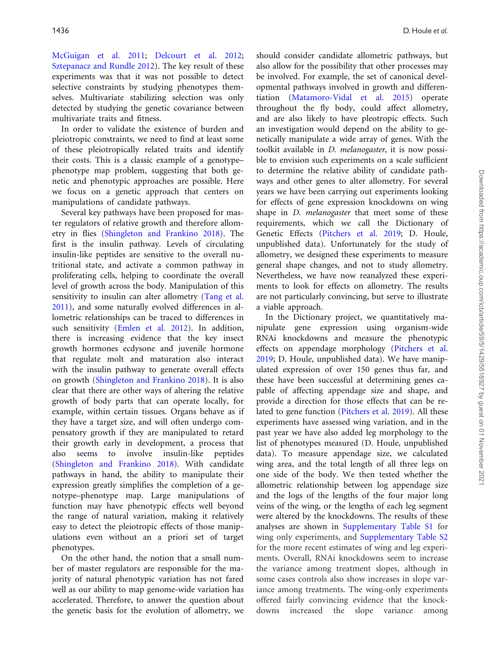[McGuigan et al. 2011;](#page-10-0) [Delcourt et al. 2012](#page-9-0); [Sztepanacz and Rundle 2012](#page-11-0)). The key result of these experiments was that it was not possible to detect selective constraints by studying phenotypes themselves. Multivariate stabilizing selection was only detected by studying the genetic covariance between multivariate traits and fitness.

In order to validate the existence of burden and pleiotropic constraints, we need to find at least some of these pleiotropically related traits and identify their costs. This is a classic example of a genotype– phenotype map problem, suggesting that both genetic and phenotypic approaches are possible. Here we focus on a genetic approach that centers on manipulations of candidate pathways.

Several key pathways have been proposed for master regulators of relative growth and therefore allometry in flies ([Shingleton and Frankino 2018](#page-10-0)). The first is the insulin pathway. Levels of circulating insulin-like peptides are sensitive to the overall nutritional state, and activate a common pathway in proliferating cells, helping to coordinate the overall level of growth across the body. Manipulation of this sensitivity to insulin can alter allometry ([Tang et al.](#page-11-0) [2011](#page-11-0)), and some naturally evolved differences in allometric relationships can be traced to differences in such sensitivity [\(Emlen et al. 2012\)](#page-9-0). In addition, there is increasing evidence that the key insect growth hormones ecdysone and juvenile hormone that regulate molt and maturation also interact with the insulin pathway to generate overall effects on growth [\(Shingleton and Frankino 2018](#page-10-0)). It is also clear that there are other ways of altering the relative growth of body parts that can operate locally, for example, within certain tissues. Organs behave as if they have a target size, and will often undergo compensatory growth if they are manipulated to retard their growth early in development, a process that also seems to involve insulin-like peptides [\(Shingleton and Frankino 2018](#page-10-0)). With candidate pathways in hand, the ability to manipulate their expression greatly simplifies the completion of a genotype–phenotype map. Large manipulations of function may have phenotypic effects well beyond the range of natural variation, making it relatively easy to detect the pleiotropic effects of those manipulations even without an a priori set of target phenotypes.

On the other hand, the notion that a small number of master regulators are responsible for the majority of natural phenotypic variation has not fared well as our ability to map genome-wide variation has accelerated. Therefore, to answer the question about the genetic basis for the evolution of allometry, we should consider candidate allometric pathways, but also allow for the possibility that other processes may be involved. For example, the set of canonical developmental pathways involved in growth and differentiation [\(Matamoro-Vidal et al. 2015](#page-10-0)) operate throughout the fly body, could affect allometry, and are also likely to have pleotropic effects. Such an investigation would depend on the ability to genetically manipulate a wide array of genes. With the toolkit available in D. melanogaster, it is now possible to envision such experiments on a scale sufficient to determine the relative ability of candidate pathways and other genes to alter allometry. For several years we have been carrying out experiments looking for effects of gene expression knockdowns on wing shape in *D. melanogaster* that meet some of these requirements, which we call the Dictionary of Genetic Effects [\(Pitchers et al. 2019;](#page-10-0) D. Houle, unpublished data). Unfortunately for the study of allometry, we designed these experiments to measure general shape changes, and not to study allometry. Nevertheless, we have now reanalyzed these experiments to look for effects on allometry. The results are not particularly convincing, but serve to illustrate a viable approach.

In the Dictionary project, we quantitatively manipulate gene expression using organism-wide RNAi knockdowns and measure the phenotypic effects on appendage morphology [\(Pitchers et al.](#page-10-0) [2019;](#page-10-0) D. Houle, unpublished data). We have manipulated expression of over 150 genes thus far, and these have been successful at determining genes capable of affecting appendage size and shape, and provide a direction for those effects that can be related to gene function [\(Pitchers et al. 2019](#page-10-0)). All these experiments have assessed wing variation, and in the past year we have also added leg morphology to the list of phenotypes measured (D. Houle, unpublished data). To measure appendage size, we calculated wing area, and the total length of all three legs on one side of the body. We then tested whether the allometric relationship between log appendage size and the logs of the lengths of the four major long veins of the wing, or the lengths of each leg segment were altered by the knockdowns. The results of these analyses are shown in [Supplementary Table S1](https://academic.oup.com/icb/article-lookup/doi/10.1093/icb/icz099#supplementary-data) for wing only experiments, and [Supplementary Table S2](https://academic.oup.com/icb/article-lookup/doi/10.1093/icb/icz099#supplementary-data) for the more recent estimates of wing and leg experiments. Overall, RNAi knockdowns seem to increase the variance among treatment slopes, although in some cases controls also show increases in slope variance among treatments. The wing-only experiments offered fairly convincing evidence that the knockdowns increased the slope variance among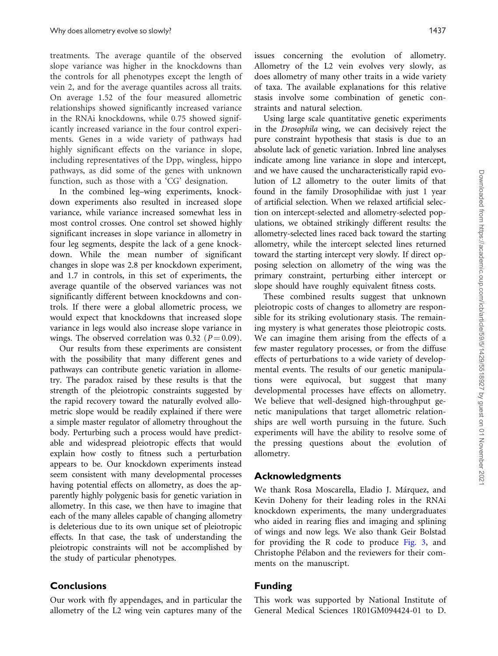treatments. The average quantile of the observed slope variance was higher in the knockdowns than the controls for all phenotypes except the length of vein 2, and for the average quantiles across all traits. On average 1.52 of the four measured allometric relationships showed significantly increased variance in the RNAi knockdowns, while 0.75 showed significantly increased variance in the four control experiments. Genes in a wide variety of pathways had highly significant effects on the variance in slope, including representatives of the Dpp, wingless, hippo pathways, as did some of the genes with unknown function, such as those with a 'CG' designation.

In the combined leg–wing experiments, knockdown experiments also resulted in increased slope variance, while variance increased somewhat less in most control crosses. One control set showed highly significant increases in slope variance in allometry in four leg segments, despite the lack of a gene knockdown. While the mean number of significant changes in slope was 2.8 per knockdown experiment, and 1.7 in controls, in this set of experiments, the average quantile of the observed variances was not significantly different between knockdowns and controls. If there were a global allometric process, we would expect that knockdowns that increased slope variance in legs would also increase slope variance in wings. The observed correlation was 0.32 ( $P = 0.09$ ).

Our results from these experiments are consistent with the possibility that many different genes and pathways can contribute genetic variation in allometry. The paradox raised by these results is that the strength of the pleiotropic constraints suggested by the rapid recovery toward the naturally evolved allometric slope would be readily explained if there were a simple master regulator of allometry throughout the body. Perturbing such a process would have predictable and widespread pleiotropic effects that would explain how costly to fitness such a perturbation appears to be. Our knockdown experiments instead seem consistent with many developmental processes having potential effects on allometry, as does the apparently highly polygenic basis for genetic variation in allometry. In this case, we then have to imagine that each of the many alleles capable of changing allometry is deleterious due to its own unique set of pleiotropic effects. In that case, the task of understanding the pleiotropic constraints will not be accomplished by the study of particular phenotypes.

#### **Conclusions**

Our work with fly appendages, and in particular the allometry of the L2 wing vein captures many of the issues concerning the evolution of allometry. Allometry of the L2 vein evolves very slowly, as does allometry of many other traits in a wide variety of taxa. The available explanations for this relative stasis involve some combination of genetic constraints and natural selection.

Using large scale quantitative genetic experiments in the Drosophila wing, we can decisively reject the pure constraint hypothesis that stasis is due to an absolute lack of genetic variation. Inbred line analyses indicate among line variance in slope and intercept, and we have caused the uncharacteristically rapid evolution of L2 allometry to the outer limits of that found in the family Drosophilidae with just 1 year of artificial selection. When we relaxed artificial selection on intercept-selected and allometry-selected populations, we obtained strikingly different results: the allometry-selected lines raced back toward the starting allometry, while the intercept selected lines returned toward the starting intercept very slowly. If direct opposing selection on allometry of the wing was the primary constraint, perturbing either intercept or slope should have roughly equivalent fitness costs.

These combined results suggest that unknown pleiotropic costs of changes to allometry are responsible for its striking evolutionary stasis. The remaining mystery is what generates those pleiotropic costs. We can imagine them arising from the effects of a few master regulatory processes, or from the diffuse effects of perturbations to a wide variety of developmental events. The results of our genetic manipulations were equivocal, but suggest that many developmental processes have effects on allometry. We believe that well-designed high-throughput genetic manipulations that target allometric relationships are well worth pursuing in the future. Such experiments will have the ability to resolve some of the pressing questions about the evolution of allometry.

#### Acknowledgments

We thank Rosa Moscarella, Eladio J. Márquez, and Kevin Doheny for their leading roles in the RNAi knockdown experiments, the many undergraduates who aided in rearing flies and imaging and splining of wings and now legs. We also thank Geir Bolstad for providing the R code to produce [Fig. 3,](#page-3-0) and Christophe Pélabon and the reviewers for their comments on the manuscript.

### Funding

This work was supported by National Institute of General Medical Sciences 1R01GM094424-01 to D.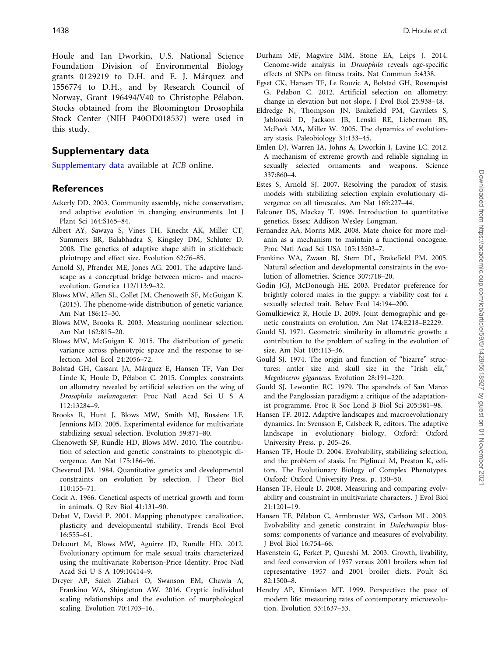<span id="page-9-0"></span>Houle and Ian Dworkin, U.S. National Science Foundation Division of Environmental Biology grants 0129219 to D.H. and E. J. Márquez and 1556774 to D.H., and by Research Council of Norway, Grant 196494/V40 to Christophe Pélabon. Stocks obtained from the Bloomington Drosophila Stock Center (NIH P40OD018537) were used in this study.

#### Supplementary data

[Supplementary data](https://academic.oup.com/icb/article-lookup/doi/10.1093/icb/icz099#supplementary-data) available at ICB online.

#### **References**

- Ackerly DD. 2003. Community assembly, niche conservatism, and adaptive evolution in changing environments. Int J Plant Sci 164:S165–84.
- Albert AY, Sawaya S, Vines TH, Knecht AK, Miller CT, Summers BR, Balabhadra S, Kingsley DM, Schluter D. 2008. The genetics of adaptive shape shift in stickleback: pleiotropy and effect size. Evolution 62:76–85.
- Arnold SJ, Pfrender ME, Jones AG. 2001. The adaptive landscape as a conceptual bridge between micro- and macroevolution. Genetica 112/113:9–32.
- Blows MW, Allen SL, Collet JM, Chenoweth SF, McGuigan K. (2015). The phenome-wide distribution of genetic variance. Am Nat 186:15–30.
- Blows MW, Brooks R. 2003. Measuring nonlinear selection. Am Nat 162:815–20.
- Blows MW, McGuigan K. 2015. The distribution of genetic variance across phenotypic space and the response to selection. Mol Ecol 24:2056–72.
- Bolstad GH, Cassara JA, Márquez E, Hansen TF, Van Der Linde K, Houle D, Pélabon C. 2015. Complex constraints on allometry revealed by artificial selection on the wing of Drosophila melanogaster. Proc Natl Acad Sci U S A 112:13284–9.
- Brooks R, Hunt J, Blows MW, Smith MJ, Bussiere LF, Jennions MD. 2005. Experimental evidence for multivariate stabilizing sexual selection. Evolution 59:871–80.
- Chenoweth SF, Rundle HD, Blows MW. 2010. The contribution of selection and genetic constraints to phenotypic divergence. Am Nat 175:186–96.
- Cheverud JM. 1984. Quantitative genetics and developmental constraints on evolution by selection. J Theor Biol 110:155–71.
- Cock A. 1966. Genetical aspects of metrical growth and form in animals. Q Rev Biol 41:131–90.
- Debat V, David P. 2001. Mapping phenotypes: canalization, plasticity and developmental stability. Trends Ecol Evol 16:555–61.
- Delcourt M, Blows MW, Aguirre JD, Rundle HD. 2012. Evolutionary optimum for male sexual traits characterized using the multivariate Robertson-Price Identity. Proc Natl Acad Sci U S A 109:10414–9.
- Dreyer AP, Saleh Ziabari O, Swanson EM, Chawla A, Frankino WA, Shingleton AW. 2016. Cryptic individual scaling relationships and the evolution of morphological scaling. Evolution 70:1703–16.
- Durham MF, Magwire MM, Stone EA, Leips J. 2014. Genome-wide analysis in Drosophila reveals age-specific effects of SNPs on fitness traits. Nat Commun 5:4338.
- Egset CK, Hansen TF, Le Rouzic A, Bolstad GH, Rosenqvist G, Pelabon C. 2012. Artificial selection on allometry: change in elevation but not slope. J Evol Biol 25:938–48.
- Eldredge N, Thompson JN, Brakefield PM, Gavrilets S, Jablonski D, Jackson JB, Lenski RE, Lieberman BS, McPeek MA, Miller W. 2005. The dynamics of evolutionary stasis. Paleobiology 31:133–45.
- Emlen DJ, Warren IA, Johns A, Dworkin I, Lavine LC. 2012. A mechanism of extreme growth and reliable signaling in sexually selected ornaments and weapons. Science 337:860–4.
- Estes S, Arnold SJ. 2007. Resolving the paradox of stasis: models with stabilizing selection explain evolutionary divergence on all timescales. Am Nat 169:227–44.
- Falconer DS, Mackay T. 1996. Introduction to quantitative genetics. Essex: Addison Wesley Longman.
- Fernandez AA, Morris MR. 2008. Mate choice for more melanin as a mechanism to maintain a functional oncogene. Proc Natl Acad Sci USA 105:13503–7.
- Frankino WA, Zwaan BJ, Stern DL, Brakefield PM. 2005. Natural selection and developmental constraints in the evolution of allometries. Science 307:718–20.
- Godin JGJ, McDonough HE. 2003. Predator preference for brightly colored males in the guppy: a viability cost for a sexually selected trait. Behav Ecol 14:194–200.
- Gomulkiewicz R, Houle D. 2009. Joint demographic and genetic constraints on evolution. Am Nat 174:E218–E2229.
- Gould SJ. 1971. Geometric similarity in allometric growth: a contribution to the problem of scaling in the evolution of size. Am Nat 105:113–36.
- Gould SJ. 1974. The origin and function of "bizarre" structures: antler size and skull size in the "Irish elk," Megaloceros giganteus. Evolution 28:191–220.
- Gould SJ, Lewontin RC. 1979. The spandrels of San Marco and the Panglossian paradigm: a critique of the adaptationist programme. Proc R Soc Lond B Biol Sci 205:581–98.
- Hansen TF. 2012. Adaptive landscapes and macroevolutionary dynamics. In: Svensson E, Calsbeek R, editors. The adaptive landscape in evolutionary biology. Oxford: Oxford University Press. p. 205–26.
- Hansen TF, Houle D. 2004. Evolvability, stabilizing selection, and the problem of stasis. In: Pigliucci M, Preston K, editors. The Evolutionary Biology of Complex Phenotypes. Oxford: Oxford University Press. p. 130–50.
- Hansen TF, Houle D. 2008. Measuring and comparing evolvability and constraint in multivariate characters. J Evol Biol 21:1201–19.
- Hansen TF, Pélabon C, Armbruster WS, Carlson ML. 2003. Evolvability and genetic constraint in Dalechampia blossoms: components of variance and measures of evolvability. J Evol Biol 16:754–66.
- Havenstein G, Ferket P, Qureshi M. 2003. Growth, livability, and feed conversion of 1957 versus 2001 broilers when fed representative 1957 and 2001 broiler diets. Poult Sci 82:1500–8.
- Hendry AP, Kinnison MT. 1999. Perspective: the pace of modern life: measuring rates of contemporary microevolution. Evolution 53:1637–53.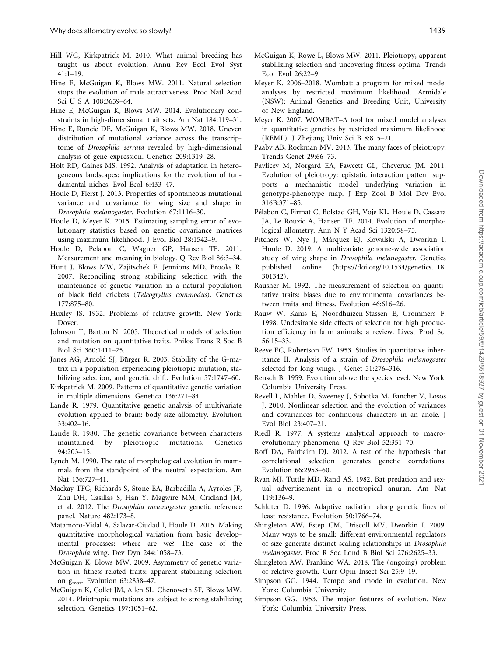- <span id="page-10-0"></span>Hill WG, Kirkpatrick M. 2010. What animal breeding has taught us about evolution. Annu Rev Ecol Evol Syst  $41:1-19$ .
- Hine E, McGuigan K, Blows MW. 2011. Natural selection stops the evolution of male attractiveness. Proc Natl Acad Sci U S A 108:3659–64.
- Hine E, McGuigan K, Blows MW. 2014. Evolutionary constraints in high-dimensional trait sets. Am Nat 184:119–31.
- Hine E, Runcie DE, McGuigan K, Blows MW. 2018. Uneven distribution of mutational variance across the transcriptome of Drosophila serrata revealed by high-dimensional analysis of gene expression. Genetics 209:1319–28.
- Holt RD, Gaines MS. 1992. Analysis of adaptation in heterogeneous landscapes: implications for the evolution of fundamental niches. Evol Ecol 6:433–47.
- Houle D, Fierst J. 2013. Properties of spontaneous mutational variance and covariance for wing size and shape in Drosophila melanogaster. Evolution 67:1116–30.
- Houle D, Meyer K. 2015. Estimating sampling error of evolutionary statistics based on genetic covariance matrices using maximum likelihood. J Evol Biol 28:1542–9.
- Houle D, Pelabon C, Wagner GP, Hansen TF. 2011. Measurement and meaning in biology. Q Rev Biol 86:3–34.
- Hunt J, Blows MW, Zajitschek F, Jennions MD, Brooks R. 2007. Reconciling strong stabilizing selection with the maintenance of genetic variation in a natural population of black field crickets (Teleogryllus commodus). Genetics 177:875–80.
- Huxley JS. 1932. Problems of relative growth. New York: Dover.
- Johnson T, Barton N. 2005. Theoretical models of selection and mutation on quantitative traits. Philos Trans R Soc B Biol Sci 360:1411–25.
- Jones AG, Arnold SJ, Bürger R. 2003. Stability of the G-matrix in a population experiencing pleiotropic mutation, stabilizing selection, and genetic drift. Evolution 57:1747–60.
- Kirkpatrick M. 2009. Patterns of quantitative genetic variation in multiple dimensions. Genetica 136:271–84.
- Lande R. 1979. Quantitative genetic analysis of multivariate evolution applied to brain: body size allometry. Evolution 33:402–16.
- Lande R. 1980. The genetic covariance between characters maintained by pleiotropic mutations. Genetics 94:203–15.
- Lynch M. 1990. The rate of morphological evolution in mammals from the standpoint of the neutral expectation. Am Nat 136:727–41.
- Mackay TFC, Richards S, Stone EA, Barbadilla A, Ayroles JF, Zhu DH, Casillas S, Han Y, Magwire MM, Cridland JM, et al. 2012. The Drosophila melanogaster genetic reference panel. Nature 482:173–8.
- Matamoro-Vidal A, Salazar-Ciudad I, Houle D. 2015. Making quantitative morphological variation from basic developmental processes: where are we? The case of the Drosophila wing. Dev Dyn 244:1058–73.
- McGuigan K, Blows MW. 2009. Asymmetry of genetic variation in fitness-related traits: apparent stabilizing selection on gmax. Evolution 63:2838–47.
- McGuigan K, Collet JM, Allen SL, Chenoweth SF, Blows MW. 2014. Pleiotropic mutations are subject to strong stabilizing selection. Genetics 197:1051–62.
- McGuigan K, Rowe L, Blows MW. 2011. Pleiotropy, apparent stabilizing selection and uncovering fitness optima. Trends Ecol Evol 26:22–9.
- Meyer K. 2006–2018. Wombat: a program for mixed model analyses by restricted maximum likelihood. Armidale (NSW): Animal Genetics and Breeding Unit, University of New England.
- Meyer K. 2007. WOMBAT–A tool for mixed model analyses in quantitative genetics by restricted maximum likelihood (REML). J Zhejiang Univ Sci B 8:815–21.
- Paaby AB, Rockman MV. 2013. The many faces of pleiotropy. Trends Genet 29:66–73.
- Pavlicev M, Norgard EA, Fawcett GL, Cheverud JM. 2011. Evolution of pleiotropy: epistatic interaction pattern supports a mechanistic model underlying variation in genotype-phenotype map. J Exp Zool B Mol Dev Evol 316B:371–85.
- Pélabon C, Firmat C, Bolstad GH, Voje KL, Houle D, Cassara JA, Le Rouzic A, Hansen TF. 2014. Evolution of morphological allometry. Ann N Y Acad Sci 1320:58–75.
- Pitchers W, Nye J, Márquez EJ, Kowalski A, Dworkin I, Houle D. 2019. A multivariate genome-wide association study of wing shape in Drosophila melanogaster. Genetics published online ([https://doi.org/10.1534/genetics.118.](https://doi.org/10.1534/genetics.118.301342) [301342](https://doi.org/10.1534/genetics.118.301342)).
- Rausher M. 1992. The measurement of selection on quantitative traits: biases due to environmental covariances between traits and fitness. Evolution 46:616–26.
- Rauw W, Kanis E, Noordhuizen-Stassen E, Grommers F. 1998. Undesirable side effects of selection for high production efficiency in farm animals: a review. Livest Prod Sci 56:15–33.
- Reeve EC, Robertson FW. 1953. Studies in quantitative inheritance II. Analysis of a strain of Drosophila melanogaster selected for long wings. J Genet 51:276–316.
- Rensch B. 1959. Evolution above the species level. New York: Columbia University Press.
- Revell L, Mahler D, Sweeney J, Sobotka M, Fancher V, Losos J. 2010. Nonlinear selection and the evolution of variances and covariances for continuous characters in an anole. J Evol Biol 23:407–21.
- Riedl R. 1977. A systems analytical approach to macroevolutionary phenomena. Q Rev Biol 52:351–70.
- Roff DA, Fairbairn DJ. 2012. A test of the hypothesis that correlational selection generates genetic correlations. Evolution 66:2953–60.
- Ryan MJ, Tuttle MD, Rand AS. 1982. Bat predation and sexual advertisement in a neotropical anuran. Am Nat 119:136–9.
- Schluter D. 1996. Adaptive radiation along genetic lines of least resistance. Evolution 50:1766–74.
- Shingleton AW, Estep CM, Driscoll MV, Dworkin I. 2009. Many ways to be small: different environmental regulators of size generate distinct scaling relationships in Drosophila melanogaster. Proc R Soc Lond B Biol Sci 276:2625–33.
- Shingleton AW, Frankino WA. 2018. The (ongoing) problem of relative growth. Curr Opin Insect Sci 25:9–19.
- Simpson GG. 1944. Tempo and mode in evolution. New York: Columbia University.
- Simpson GG. 1953. The major features of evolution. New York: Columbia University Press.